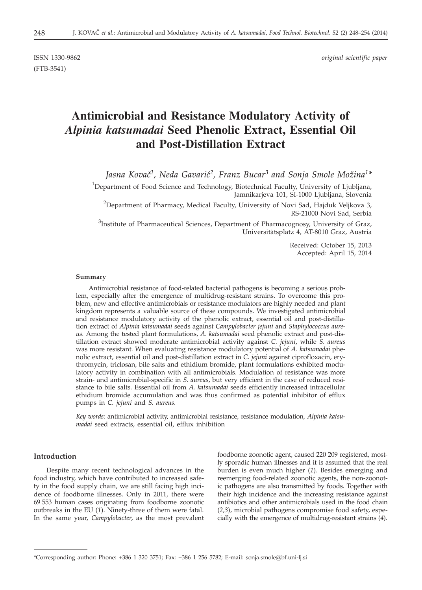(FTB-3541)

ISSN 1330-9862 *original scientific paper*

# **Antimicrobial and Resistance Modulatory Activity of** *Alpinia katsumadai* **Seed Phenolic Extract, Essential Oil and Post-Distillation Extract**

Jasna Kovač<sup>1</sup>, Neda Gavarić<sup>2</sup>, Franz Bucar<sup>3</sup> and Sonja Smole Možina<sup>1\*</sup>

<sup>1</sup>Department of Food Science and Technology, Biotechnical Faculty, University of Ljubljana, Jamnikarjeva 101, SI-1000 Ljubljana, Slovenia

 $^2$ Department of Pharmacy, Medical Faculty, University of Novi Sad, Hajduk Veljkova 3, RS-21000 Novi Sad, Serbia

 ${}^{3}$ Institute of Pharmaceutical Sciences, Department of Pharmacognosy, University of Graz, Universitätsplatz 4, AT-8010 Graz, Austria

> Received: October 15, 2013 Accepted: April 15, 2014

#### **Summary**

Antimicrobial resistance of food-related bacterial pathogens is becoming a serious problem, especially after the emergence of multidrug-resistant strains. To overcome this problem, new and effective antimicrobials or resistance modulators are highly needed and plant kingdom represents a valuable source of these compounds. We investigated antimicrobial and resistance modulatory activity of the phenolic extract, essential oil and post-distillation extract of *Alpinia katsumadai* seeds against *Campylobacter jejuni* and *Staphylococcus aureus.* Among the tested plant formulations, *A. katsumadai* seed phenolic extract and post-distillation extract showed moderate antimicrobial activity against *C. jejuni*, while *S. aureus* was more resistant. When evaluating resistance modulatory potential of *A. katsumadai* phenolic extract, essential oil and post-distillation extract in *C. jejuni* against ciprofloxacin, erythromycin, triclosan, bile salts and ethidium bromide, plant formulations exhibited modulatory activity in combination with all antimicrobials. Modulation of resistance was more strain- and antimicrobial-specific in *S. aureus*, but very efficient in the case of reduced resistance to bile salts. Essential oil from *A. katsumadai* seeds efficiently increased intracellular ethidium bromide accumulation and was thus confirmed as potential inhibitor of efflux pumps in *C. jejuni* and *S. aureus.*

*Key words*: antimicrobial activity, antimicrobial resistance, resistance modulation, *Alpinia katsumadai* seed extracts, essential oil, efflux inhibition

# **Introduction**

Despite many recent technological advances in the food industry, which have contributed to increased safety in the food supply chain, we are still facing high incidence of foodborne illnesses. Only in 2011, there were 69 553 human cases originating from foodborne zoonotic outbreaks in the EU (*1*). Ninety-three of them were fatal. In the same year, *Campylobacter*, as the most prevalent

foodborne zoonotic agent, caused 220 209 registered, mostly sporadic human illnesses and it is assumed that the real burden is even much higher (*1*). Besides emerging and reemerging food-related zoonotic agents, the non-zoonotic pathogens are also transmitted by foods. Together with their high incidence and the increasing resistance against antibiotics and other antimicrobials used in the food chain (*2,3*), microbial pathogens compromise food safety, especially with the emergence of multidrug-resistant strains (*4*).

<sup>\*</sup>Corresponding author: Phone: +386 1 320 3751; Fax: +386 1 256 5782; E-mail: sonja.smole@bf.uni-lj.si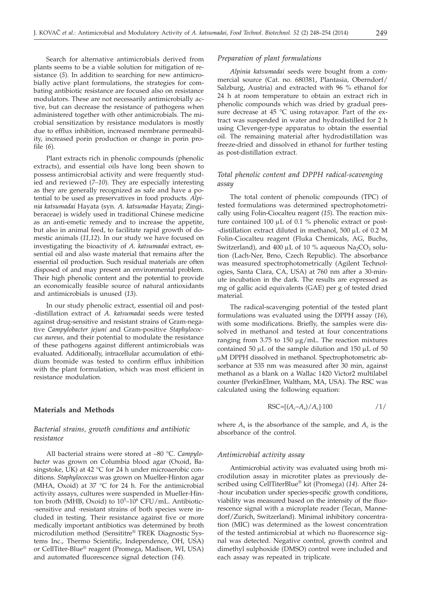Search for alternative antimicrobials derived from plants seems to be a viable solution for mitigation of resistance (*5*). In addition to searching for new antimicrobially active plant formulations, the strategies for combating antibiotic resistance are focused also on resistance modulators. These are not necessarily antimicrobially active, but can decrease the resistance of pathogens when administered together with other antimicrobials. The microbial sensitization by resistance modulators is mostly due to efflux inhibition, increased membrane permeability, increased porin production or change in porin profile (*6*).

Plant extracts rich in phenolic compounds (phenolic extracts), and essential oils have long been shown to possess antimicrobial activity and were frequently studied and reviewed (*7–10*). They are especially interesting as they are generally recognized as safe and have a potential to be used as preservatives in food products. *Alpinia katsumadai* Hayata (syn. *A. katsumadae* Hayata; Zingiberaceae) is widely used in traditional Chinese medicine as an anti-emetic remedy and to increase the appetite, but also in animal feed, to facilitate rapid growth of domestic animals (*11,12*). In our study we have focused on investigating the bioactivity of *A. katsumadai* extract, essential oil and also waste material that remains after the essential oil production. Such residual materials are often disposed of and may present an environmental problem. Their high phenolic content and the potential to provide an economically feasible source of natural antioxidants and antimicrobials is unused (*13*).

In our study phenolic extract, essential oil and post- -distillation extract of *A. katsumadai* seeds were tested against drug-sensitive and resistant strains of Gram-negative *Campylobacter jejuni* and Gram-positive *Staphylococcus aureus,* and their potential to modulate the resistance of these pathogens against different antimicrobials was evaluated. Additionally, intracellular accumulation of ethidium bromide was tested to confirm efflux inhibition with the plant formulation, which was most efficient in resistance modulation.

#### **Materials and Methods**

# *Bacterial strains, growth conditions and antibiotic resistance*

All bacterial strains were stored at –80 °C. *Campylobacter* was grown on Columbia blood agar (Oxoid, Basingstoke, UK) at 42 °C for 24 h under microaerobic conditions. *Staphylococcus* was grown on Mueller-Hinton agar (MHA, Oxoid) at 37 °C for 24 h. For the antimicrobial activity assays, cultures were suspended in Mueller-Hinton broth (MHB, Oxoid) to  $10^5$ –10<sup>6</sup> CFU/mL. Antibiotic--sensitive and -resistant strains of both species were included in testing. Their resistance against five or more medically important antibiotics was determined by broth microdilution method (Sensititre® TREK Diagnostic Systems Inc., Thermo Scientific, Independence, OH, USA) or CellTiter-Blue® reagent (Promega, Madison, WI, USA) and automated fluorescence signal detection (*14*).

# *Preparation of plant formulations*

*Alpinia katsumadai* seeds were bought from a commercial source (Cat. no. 680381, Plantasia, Oberndorf/ Salzburg, Austria) and extracted with 96 % ethanol for 24 h at room temperature to obtain an extract rich in phenolic compounds which was dried by gradual pressure decrease at 45 °C using rotavapor. Part of the extract was suspended in water and hydrodistilled for 2 h using Clevenger-type apparatus to obtain the essential oil. The remaining material after hydrodistillation was freeze-dried and dissolved in ethanol for further testing as post-distillation extract.

# *Total phenolic content and DPPH radical-scavenging assay*

The total content of phenolic compounds (TPC) of tested formulations was determined spectrophotometrically using Folin-Ciocalteu reagent (*15*). The reaction mixture contained 100  $\mu$ L of 0.1 % phenolic extract or post--distillation extract diluted in methanol, 500  $\mu$ L of 0.2 M Folin-Ciocalteu reagent (Fluka Chemicals, AG, Buchs, Switzerland), and 400  $\mu$ L of 10 % aqueous Na<sub>2</sub>CO<sub>3</sub> solution (Lach-Ner, Brno, Czech Republic). The absorbance was measured spectrophotometrically (Agilent Technologies, Santa Clara, CA, USA) at 760 nm after a 30-minute incubation in the dark. The results are expressed as mg of gallic acid equivalents (GAE) per g of tested dried material.

The radical-scavenging potential of the tested plant formulations was evaluated using the DPPH assay (*16*), with some modifications. Briefly, the samples were dissolved in methanol and tested at four concentrations ranging from  $3.75$  to  $150 \mu g/mL$ . The reaction mixtures contained 50  $\mu$ L of the sample dilution and 150  $\mu$ L of 50 µM DPPH dissolved in methanol. Spectrophotometric absorbance at 535 nm was measured after 30 min, against methanol as a blank on a Wallac 1420 Victor2 multilabel counter (PerkinElmer, Waltham, MA, USA). The RSC was calculated using the following equation:

$$
RSC = [(A_c - A_s)/A_c] \cdot 100 \t\t /1/
$$

where  $A_s$  is the absorbance of the sample, and  $A_c$  is the absorbance of the control.

#### *Antimicrobial activity assay*

Antimicrobial activity was evaluated using broth microdilution assay in microtiter plates as previously described using CellTiterBlue® kit (Promega) (*14*). After 24- -hour incubation under species-specific growth conditions, viability was measured based on the intensity of the fluorescence signal with a microplate reader (Tecan, Mannedorf/Zurich, Switzerland). Minimal inhibitory concentration (MIC) was determined as the lowest concentration of the tested antimicrobial at which no fluorescence signal was detected. Negative control, growth control and dimethyl sulphoxide (DMSO) control were included and each assay was repeated in triplicate.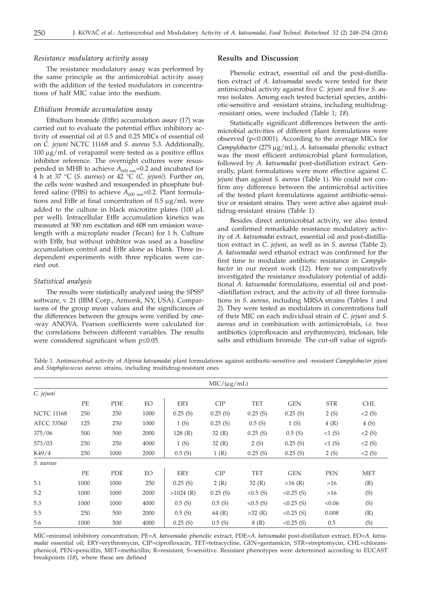#### *Resistance modulatory activity assay*

The resistance modulatory assay was performed by the same principle as the antimicrobial activity assay with the addition of the tested modulators in concentrations of half MIC value into the medium.

# *Ethidium bromide accumulation assay*

Ethidium bromide (EtBr) accumulation assay (*17*) was carried out to evaluate the potential efflux inhibitory activity of essential oil at 0.5 and 0.25 MICs of essential oil on *C. jejuni* NCTC 11168 and *S. aureus* 5.3. Additionally,  $100 \mu g/mL$  of verapamil were tested as a positive efflux inhibitor reference. The overnight cultures were resuspended in MHB to achieve  $A_{600 \text{ nm}}$ =0.2 and incubated for 4 h at 37 °C (*S. aureus*) or 42 °C (*C. jejuni*). Further on, the cells were washed and resuspended in phosphate buffered saline (PBS) to achieve  $A_{600 \text{ nm}}$ =0.2. Plant formulations and EtBr at final concentration of  $0.5 \ \mu\text{g/mL}$  were added to the culture in black microtitre plates (100 µL per well). Intracellular EtBr accumulation kinetics was measured at 500 nm excitation and 608 nm emission wavelength with a microplate reader (Tecan) for 1 h. Culture with EtBr, but without inhibitor was used as a baseline accumulation control and EtBr alone as blank. Three independent experiments with three replicates were carried out.

#### *Statistical analysis*

The results were statistically analyzed using the SPSS® software, v. 21 (IBM Corp., Armonk, NY, USA). Comparisons of the group mean values and the significances of the differences between the groups were verified by one- -way ANOVA. Pearson coefficients were calculated for the correlations between different variables. The results were considered significant when p*£*0.05.

# **Results and Discussion**

Phenolic extract, essential oil and the post-distillation extract of *A. katsumadai* seeds were tested for their antimicrobial activity against five *C. jejuni* and five *S. aureus* isolates. Among each tested bacterial species, antibiotic-sensitive and -resistant strains, including multidrug- -resistant ones, were included (Table 1; *18*).

Statistically significant differences between the antimicrobial activities of different plant formulations were observed (p<0.0001). According to the average MICs for *Campylobacter* (275 mg/mL), *A. katsumadai* phenolic extract was the most efficient antimicrobial plant formulation, followed by *A. katsumadai* post-distillation extract. Generally, plant formulations were more effective against *C. jejuni* than against *S. aureus* (Table 1). We could not confirm any difference between the antimicrobial activities of the tested plant formulations against antibiotic-sensitive or resistant strains. They were active also against multidrug-resistant strains (Table 1).

Besides direct antimicrobial activity, we also tested and confirmed remarkable resistance modulatory activity of *A. katsumadai* extract, essential oil and post-distillation extract in *C. jejuni*, as well as in *S. aureus* (Table 2). *A. katsumadai* seed ethanol extract was confirmed for the first time to modulate antibiotic resistance in *Campylobacter* in our recent work (*12*). Here we comparatively investigated the resistance modulatory potential of additional *A. katsumadai* formulations, essential oil and post- -distillation extract, and the activity of all three formulations in *S. aureus*, including MRSA strains (Tables 1 and 2). They were tested as modulators in concentrations half of their MIC on each individual strain of *C. jejuni* and *S. aureus* and in combination with antimicrobials, *i.e*. two antibiotics (ciprofloxacin and erythromycin), triclosan, bile salts and ethidium bromide. The cut-off value of signifi-

Table 1. Antimicrobial activity of *Alpinia katsumadai* plant formulations against antibiotic-sensitive and -resistant *Campylobacter jejuni* and *Staphylococcus aureus* strains, including multidrug-resistant ones

|                   | $MIC/(\mu g/mL)$ |            |      |             |         |             |              |            |             |
|-------------------|------------------|------------|------|-------------|---------|-------------|--------------|------------|-------------|
| C. jejuni         |                  |            |      |             |         |             |              |            |             |
|                   | PE               | <b>PDE</b> | EO   | <b>ERY</b>  | CIP     | <b>TET</b>  | <b>GEN</b>   | <b>STR</b> | CHL         |
| <b>NCTC 11168</b> | 250              | 250        | 1000 | 0.25(S)     | 0.25(S) | 0.25(S)     | 0.25(S)      | 2(S)       | $<$ 2 $(S)$ |
| <b>ATCC 33560</b> | 125              | 250        | 1000 | 1(S)        | 0.25(S) | 0.5(S)      | 1(S)         | 4(R)       | 4(S)        |
| 375/06            | 500              | 500        | 2000 | 128(R)      | 32(R)   | 0.25(S)     | 0.5(S)       | <1(S)      | 2(S)        |
| 573/03            | 250              | 250        | 4000 | 1(S)        | 32(R)   | 2(S)        | 0.25(S)      | <1(S)      | <2(S)       |
| K49/4             | 250              | 1000       | 2000 | 0.5(S)      | 1(R)    | 0.25(S)     | 0.25(S)      | 2(S)       | <2(S)       |
| S. aureus         |                  |            |      |             |         |             |              |            |             |
|                   | PE               | <b>PDE</b> | EO   | ERY         | CIP     | <b>TET</b>  | <b>GEN</b>   | <b>PEN</b> | <b>MET</b>  |
| 5.1               | 1000             | 1000       | 250  | 0.25(S)     | 2(R)    | 32(R)       | >16(R)       | $>16$      | (R)         |
| 5.2               | 1000             | 1000       | 2000 | $>1024$ (R) | 0.25(S) | $< 0.5$ (S) | $< 0.25$ (S) | $>16$      | (S)         |
| 5.3               | 1000             | 1000       | 4000 | 0.5(S)      | 0.5(S)  | $< 0.5$ (S) | $< 0.25$ (S) | < 0.06     | (S)         |
| 5.5               | 250              | 500        | 2000 | 0.5(S)      | 64 (R)  | $>32$ (R)   | $< 0.25$ (S) | 0.008      | (R)         |
| 5.6               | 1000             | 500        | 4000 | 0.25(S)     | 0.5(S)  | 8(R)        | $<0.25$ (S)  | 0.5        | (S)         |

MIC=minimal inhibitory concentration; PE=*A. katsumadai* phenolic extract, PDE=*A. katsumadai* post-distillation extract, EO=*A. katsumadai* essential oil; ERY=erythromycin, CIP=ciprofloxacin, TET=tetracycline, GEN=gentamicin, STR=streptomycin, CHL=chloramphenicol, PEN=penicillin, MET=methicillin; R=resistant, S=sensitive. Resistant phenotypes were determined according to EUCAST breakpoints (*18*), where these are defined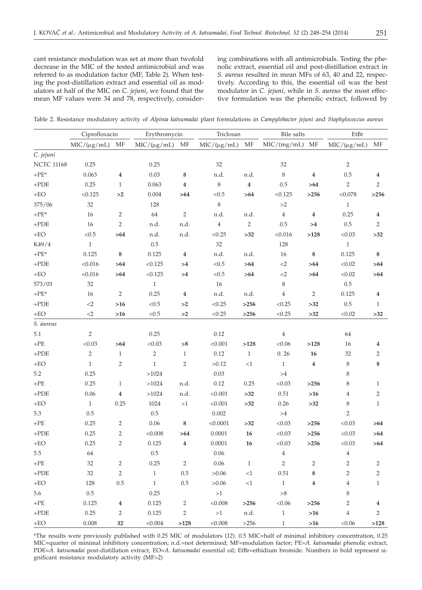cant resistance modulation was set at more than twofold decrease in the MIC of the tested antimicrobial and was referred to as modulation factor (MF, Table 2). When testing the post-distillation extract and essential oil as modulators at half of the MIC on *C. jejuni*, we found that the mean MF values were 34 and 78, respectively, considering combinations with all antimicrobials. Testing the phenolic extract, essential oil and post-distillation extract in *S. aureus* resulted in mean MFs of 63, 40 and 22, respectively. According to this, the essential oil was the best modulator in *C. jejuni*, while in *S. aureus* the most effective formulation was the phenolic extract, followed by

Table 2. Resistance modulatory activity of *Alpinia katsumadai* plant formulations in *Campylobacter jejuni* and *Staphylococcus aureus*

|                   | Ciprofloxacin    |                         | Erythromycin |                  | Triclosan        |                | Bile salts       |                  | EtBr             |                         |
|-------------------|------------------|-------------------------|--------------|------------------|------------------|----------------|------------------|------------------|------------------|-------------------------|
|                   | $MIC/(\mu g/mL)$ | MF                      | MIC/(µg/mL)  | MF               | $MIC/(\mu g/mL)$ | MF             | $MIC/(mg/mL)$ MF |                  | $MIC/(\mu g/mL)$ | MF                      |
| C. jejuni         |                  |                         |              |                  |                  |                |                  |                  |                  |                         |
| <b>NCTC 11168</b> | 0.25             |                         | 0.25         |                  | 32               |                | 32               |                  | $\sqrt{2}$       |                         |
| $+PE*$            | 0.063            | $\overline{\mathbf{4}}$ | 0.03         | 8                | n.d.             | n.d.           | 8                | $\boldsymbol{4}$ | 0.5              | $\overline{\mathbf{4}}$ |
| $+PDE$            | 0.25             | $\mathbf{1}$            | 0.063        | $\boldsymbol{4}$ | $\,8\,$          | $\overline{4}$ | 0.5              | $>64$            | $\overline{2}$   | $\overline{2}$          |
| $+EO$             | < 0.125          | >2                      | 0.004        | >64              | < 0.5            | >64            | < 0.125          | >256             | < 0.078          | >256                    |
| 375/06            | 32               |                         | 128          |                  | 8                |                | >2               |                  | $\mathbf{1}$     |                         |
| $+PE*$            | 16               | $\sqrt{2}$              | 64           | $\overline{2}$   | n.d.             | n.d.           | $\overline{4}$   | $\bf 4$          | 0.25             | $\overline{\mathbf{4}}$ |
| $+PDE$            | 16               | $\overline{2}$          | n.d.         | n.d.             | $\,4$            | $\overline{2}$ | $0.5\,$          | ${>}4\,$         | $0.5\,$          | $\overline{2}$          |
| $+EO$             | < 0.5            | $>64$                   | n.d.         | n.d.             | < 0.25           | $>32$          | < 0.016          | >128             | < 0.03           | >32                     |
| K49/4             | $\mathbf{1}$     |                         | $0.5\,$      |                  | 32               |                | 128              |                  | $1\,$            |                         |
| $+PE*$            | 0.125            | $\bf 8$                 | 0.125        | $\boldsymbol{4}$ | n.d.             | n.d.           | 16               | $\bf 8$          | 0.125            | 8                       |
| $+PDE$            | < 0.016          | $>64$                   | < 0.125      | >4               | < 0.5            | $>64$          | $<$ 2            | $>64$            | < 0.02           | >64                     |
| $+EO$             | < 0.016          | $>64$                   | < 0.125      | >4               | < 0.5            | $>\!\!64$      | $<$ 2            | $>\!\!64$        | < 0.02           | >64                     |
| 573/03            | 32               |                         | $\mathbf{1}$ |                  | 16               |                | 8                |                  | $0.5\,$          |                         |
| $+PE*$            | 16               | $\overline{2}$          | 0.25         | 4                | n.d.             | n.d.           | $\overline{4}$   | $\sqrt{2}$       | 0.125            | $\overline{\mathbf{4}}$ |
| $+PDE$            | $\leq$ 2         | $>16$                   | < 0.5        | >2               | < 0.25           | $>256$         | < 0.25           | $>32$            | $0.5\,$          | $\mathbf{1}$            |
| $+EO$             | ${<}2$           | $>16$                   | < 0.5        | >2               | < 0.25           | $>256$         | < 0.25           | $>32$            | < 0.02           | >32                     |
| S. aureus         |                  |                         |              |                  |                  |                |                  |                  |                  |                         |
| 5.1               | $\overline{c}$   |                         | 0.25         |                  | 0.12             |                | $\,4$            |                  | 64               |                         |
| $+PE$             | < 0.03           | $>64$                   | < 0.03       | >8               | < 0.001          | >128           | < 0.06           | >128             | 16               | $\boldsymbol{4}$        |
| $+PDE$            | $\sqrt{2}$       | $\mathbf{1}$            | $\sqrt{2}$   | $\mathbf{1}$     | 0.12             | $\mathbf{1}$   | 0.26             | ${\bf 16}$       | 32               | $\overline{2}$          |
| $+EO$             | $\mathbf{1}$     | $\sqrt{2}$              | $\mathbf{1}$ | $\overline{2}$   | >0.12            | ${<}1$         | $\,1\,$          | $\boldsymbol{4}$ | 8                | 8                       |
| 5.2               | 0.25             |                         | >1024        |                  | 0.03             |                | >4               |                  | 8                |                         |
| $+{\rm PE}$       | 0.25             | $\mathbf{1}$            | >1024        | n.d.             | 0.12             | 0.25           | < 0.03           | >256             | 8                | $\mathbf{1}$            |
| $+{\rm PDE}$      | 0.06             | $\overline{\mathbf{4}}$ | >1024        | n.d.             | < 0.001          | >32            | 0.51             | $>16$            | $\overline{4}$   | $\sqrt{2}$              |
| $+EO$             | $\mathbf{1}$     | 0.25                    | 1024         | >1               | < 0.001          | >32            | 0.26             | $>32$            | 8                | $\mathbf{1}$            |
| 5.3               | $0.5\,$          |                         | $0.5\,$      |                  | 0.002            |                | $>\!4$           |                  | $\overline{2}$   |                         |
| $+PE$             | 0.25             | $\sqrt{2}$              | 0.06         | 8                | < 0.0001         | $>32$          | < 0.03           | >256             | < 0.03           | >64                     |
| $+PDE$            | 0.25             | $\overline{2}$          | < 0.008      | $>64$            | 0.0001           | 16             | < 0.03           | $>256$           | < 0.03           | $>64$                   |
| $+EO$             | 0.25             | $\overline{2}$          | 0.125        | 4                | 0.0001           | 16             | < 0.03           | >256             | < 0.03           | $>\!\!64$               |
| 5.5               | 64               |                         | $0.5\,$      |                  | $0.06\,$         |                | $\overline{4}$   |                  | $\,4$            |                         |
| $+{\rm PE}$       | 32               | $\overline{2}$          | 0.25         | $\overline{c}$   | 0.06             | $\mathbf{1}$   | $\sqrt{2}$       | $\overline{2}$   | $\overline{c}$   | $\overline{2}$          |
| $+PDE$            | $32\,$           | $\sqrt{2}$              | $\,1\,$      | $0.5\,$          | >0.06            | $<\!\!1$       | $0.51\,$         | 8                | $\overline{2}$   | 2                       |
| $+EO$             | 128              | 0.5                     | $\,1\,$      | $0.5\,$          | >0.06            | ${<}1\,$       | $\,1\,$          | $\boldsymbol{4}$ | $\overline{4}$   | $\mathbf{1}$            |
| 5.6               | $0.5\,$          |                         | 0.25         |                  | >1               |                | $>\!\!8$         |                  | 8                |                         |
| $+{\rm PE}$       | 0.125            | $\boldsymbol{4}$        | 0.125        | 2                | < 0.008          | >256           | < 0.06           | >256             | $\overline{2}$   | 4                       |
| $+PDE$            | 0.25             | $\overline{c}$          | 0.125        | 2                | >1               | n.d.           | $\,1$            | $>16$            | $\overline{4}$   | 2                       |
| $+EO$             | 0.008            | 32                      | < 0.004      | >128             | < 0.008          | >256           | $\mathbf{1}$     | $>16$            | < 0.06           | >128                    |

\*The results were previously published with 0.25 MIC of modulators (*12*). 0.5 MIC=half of minimal inhibitory concentration, 0.25 MIC=quarter of minimal inhibitory concentration; n.d.=not determined; MF=modulation factor; PE=*A. katsumadai* phenolic extract, PDE=*A. katsumadai* post-distillation extract, EO=*A. katsumadai* essential oil; EtBr=ethidium bromide. Numbers in bold represent significant resistance modulatory activity (MF>2)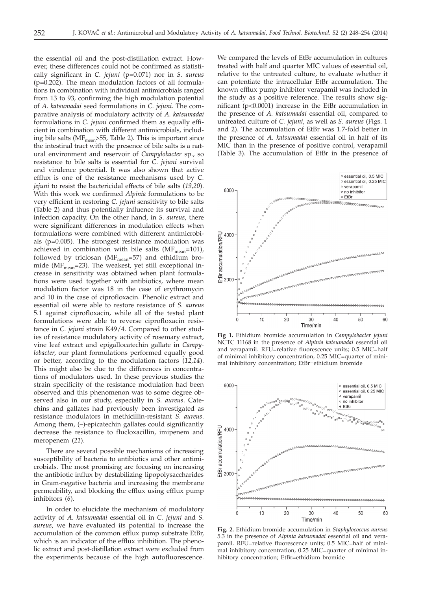the essential oil and the post-distillation extract. However, these differences could not be confirmed as statistically significant in *C. jejuni* (p=0.071) nor in *S. aureus* (p=0.202). The mean modulation factors of all formulations in combination with individual antimicrobials ranged from 13 to 93, confirming the high modulation potential of *A. katsumadai* seed formulations in *C. jejuni*. The comparative analysis of modulatory activity of *A. katsumadai* formulations in *C. jejuni* confirmed them as equally efficient in combination with different antimicrobials, including bile salts ( $MF_{mean}$ >55, Table 2). This is important since the intestinal tract with the presence of bile salts is a natural environment and reservoir of *Campylobacter* sp., so resistance to bile salts is essential for *C. jejuni* survival and virulence potential. It was also shown that active efflux is one of the resistance mechanisms used by *C. jejuni* to resist the bactericidal effects of bile salts (*19,20*). With this work we confirmed *Alpinia* formulations to be very efficient in restoring *C. jejuni* sensitivity to bile salts (Table 2) and thus potentially influence its survival and infection capacity. On the other hand, in *S. aureus*, there were significant differences in modulation effects when formulations were combined with different antimicrobials (p=0.005). The strongest resistance modulation was achieved in combination with bile salts ( $MF_{mean} = 101$ ), followed by triclosan ( $MF_{mean} = 57$ ) and ethidium bromide ( $MF_{mean}$ =23). The weakest, yet still exceptional increase in sensitivity was obtained when plant formulations were used together with antibiotics, where mean modulation factor was 18 in the case of erythromycin and 10 in the case of ciprofloxacin. Phenolic extract and essential oil were able to restore resistance of *S. aureus* 5.1 against ciprofloxacin, while all of the tested plant formulations were able to reverse ciprofloxacin resistance in *C. jejuni* strain K49/4. Compared to other studies of resistance modulatory activity of rosemary extract, vine leaf extract and epigallocatechin gallate in *Campylobacter*, our plant formulations performed equally good or better, according to the modulation factors (*12,14*). This might also be due to the differences in concentrations of modulators used. In these previous studies the strain specificity of the resistance modulation had been observed and this phenomenon was to some degree observed also in our study, especially in *S. aureus*. Catechins and gallates had previously been investigated as resistance modulators in methicillin-resistant *S. aureus*. Among them, (–)-epicatechin gallates could significantly decrease the resistance to flucloxacillin, imipenem and meropenem (*21*).

There are several possible mechanisms of increasing susceptibility of bacteria to antibiotics and other antimicrobials. The most promising are focusing on increasing the antibiotic influx by destabilizing lipopolysaccharides in Gram-negative bacteria and increasing the membrane permeability, and blocking the efflux using efflux pump inhibitors (*6*).

In order to elucidate the mechanism of modulatory activity of *A. katsumadai* essential oil in *C. jejuni* and *S. aureus*, we have evaluated its potential to increase the accumulation of the common efflux pump substrate EtBr, which is an indicator of the efflux inhibition. The phenolic extract and post-distillation extract were excluded from the experiments because of the high autofluorescence.

We compared the levels of EtBr accumulation in cultures treated with half and quarter MIC values of essential oil, relative to the untreated culture, to evaluate whether it can potentiate the intracellular EtBr accumulation. The known efflux pump inhibitor verapamil was included in the study as a positive reference. The results show significant (p<0.0001) increase in the EtBr accumulation in the presence of *A. katsumadai* essential oil, compared to untreated culture of *C. jejuni*, as well as *S. aureus* (Figs. 1 and 2). The accumulation of EtBr was 1.7-fold better in the presence of *A. katsumadai* essential oil in half of its MIC than in the presence of positive control, verapamil (Table 3). The accumulation of EtBr in the presence of



**Fig 1.** Ethidium bromide accumulation in *Campylobacter jejuni* NCTC 11168 in the presence of *Alpinia katsumadai* essential oil and verapamil. RFU=relative fluorescence units; 0.5 MIC=half of minimal inhibitory concentration, 0.25 MIC=quarter of minimal inhibitory concentration; EtBr=ethidium bromide



**Fig. 2.** Ethidium bromide accumulation in *Staphylococcus aureus* 5.3 in the presence of *Alpinia katsumadai* essential oil and verapamil. RFU=relative fluorescence units; 0.5 MIC=half of minimal inhibitory concentration, 0.25 MIC=quarter of minimal inhibitory concentration; EtBr=ethidium bromide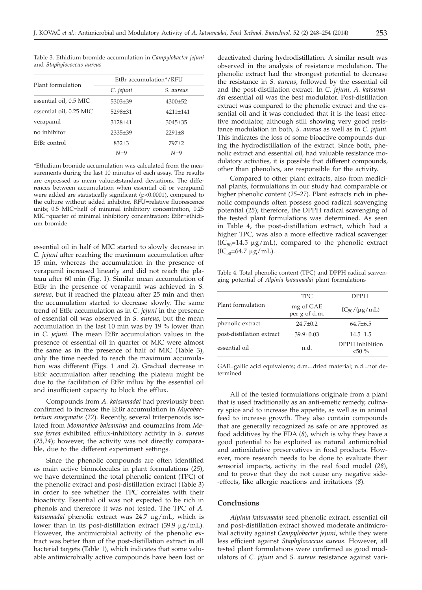|                         | EtBr accumulation*/RFU |               |  |  |  |  |
|-------------------------|------------------------|---------------|--|--|--|--|
| Plant formulation       | C. jejuni              | S. aureus     |  |  |  |  |
| essential oil, 0.5 MIC  | 5303±39                | 4300±52       |  |  |  |  |
| essential oil, 0.25 MIC | 5298±31                | 4211±141      |  |  |  |  |
| verapamil               | 3128±41                | $3045 \pm 35$ |  |  |  |  |
| no inhibitor            | 2335±39                | $2291 \pm 8$  |  |  |  |  |
| EtBr control            | $832 + 3$              | $797 + 2$     |  |  |  |  |
|                         | $N=9$                  | $N=9$         |  |  |  |  |

Table 3. Ethidium bromide accumulation in *Campylobacter jejuni* and *Staphylococcus aureus*

\*Ethidium bromide accumulation was calculated from the measurements during the last 10 minutes of each assay. The results are expressed as mean values±standard deviations. The differences between accumulation when essential oil or verapamil were added are statistically significant (p<0.0001), compared to the culture without added inhibitor. RFU=relative fluorescence units; 0.5 MIC=half of minimal inhibitory concentration, 0.25 MIC=quarter of minimal inhibitory concentration; EtBr=ethidium bromide

essential oil in half of MIC started to slowly decrease in *C. jejuni* after reaching the maximum accumulation after 15 min, whereas the accumulation in the presence of verapamil increased linearly and did not reach the plateau after 60 min (Fig. 1). Similar mean accumulation of EtBr in the presence of verapamil was achieved in *S. aureus*, but it reached the plateau after 25 min and then the accumulation started to decrease slowly. The same trend of EtBr accumulation as in *C. jejuni* in the presence of essential oil was observed in *S. aureus*, but the mean accumulation in the last 10 min was by 19 % lower than in *C. jejuni*. The mean EtBr accumulation values in the presence of essential oil in quarter of MIC were almost the same as in the presence of half of MIC (Table 3), only the time needed to reach the maximum accumulation was different (Figs. 1 and 2). Gradual decrease in EtBr accumulation after reaching the plateau might be due to the facilitation of EtBr influx by the essential oil and insufficient capacity to block the efflux.

Compounds from *A. katsumadai* had previously been confirmed to increase the EtBr accumulation in *Mycobacterium smegmatis* (*22*). Recently, several triterpenoids isolated from *Momordica balsamina* and coumarins from *Mesua ferrea* exhibited efflux-inhibitory activity in *S. aureus* (*23,24*); however, the activity was not directly comparable, due to the different experiment settings.

Since the phenolic compounds are often identified as main active biomolecules in plant formulations (*25*), we have determined the total phenolic content (TPC) of the phenolic extract and post-distillation extract (Table 3) in order to see whether the TPC correlates with their bioactivity. Essential oil was not expected to be rich in phenols and therefore it was not tested. The TPC of *A.* katsumadai phenolic extract was 24.7 µg/mL, which is lower than in its post-distillation extract  $(39.9 \,\mu g/mL)$ . However, the antimicrobial activity of the phenolic extract was better than of the post-distillation extract in all bacterial targets (Table 1), which indicates that some valuable antimicrobially active compounds have been lost or

deactivated during hydrodistillation. A similar result was observed in the analysis of resistance modulation. The phenolic extract had the strongest potential to decrease the resistance in *S. aureus*, followed by the essential oil and the post-distillation extract. In *C. jejuni, A. katsumadai* essential oil was the best modulator. Post-distillation extract was compared to the phenolic extract and the essential oil and it was concluded that it is the least effective modulator, although still showing very good resistance modulation in both, *S. aureus* as well as in *C. jejuni*. This indicates the loss of some bioactive compounds during the hydrodistillation of the extract. Since both, phenolic extract and essential oil, had valuable resistance modulatory activities, it is possible that different compounds, other than phenolics, are responsible for the activity.

Compared to other plant extracts, also from medicinal plants, formulations in our study had comparable or higher phenolic content (*25–27*). Plant extracts rich in phenolic compounds often possess good radical scavenging potential (*25*); therefore, the DPPH radical scavenging of the tested plant formulations was determined. As seen in Table 4, the post-distillation extract, which had a higher TPC, was also a more effective radical scavenger  $(IC_{50}=14.5 \mu g/mL)$ , compared to the phenolic extract  $(IC_{50} = 64.7 \mu g/mL).$ 

Table 4. Total phenolic content (TPC) and DPPH radical scavenging potential of *Alpinia katsumadai* plant formulations

|                           | TPC.                       | <b>DPPH</b>                 |  |  |  |
|---------------------------|----------------------------|-----------------------------|--|--|--|
| Plant formulation         | mg of GAE<br>per g of d.m. | $IC_{50}/(\mu g/mL)$        |  |  |  |
| phenolic extract          | $24.7+0.2$                 | $64.7+6.5$                  |  |  |  |
| post-distillation extract | 39.9±0.03                  | $14.5 + 1.5$                |  |  |  |
| essential oil             | n.d.                       | DPPH inhibition<br>$< 50\%$ |  |  |  |

GAE=gallic acid equivalents; d.m.=dried material; n.d.=not determined

All of the tested formulations originate from a plant that is used traditionally as an anti-emetic remedy, culinary spice and to increase the appetite, as well as in animal feed to increase growth. They also contain compounds that are generally recognized as safe or are approved as food additives by the FDA (*8*), which is why they have a good potential to be exploited as natural antimicrobial and antioxidative preservatives in food products. However, more research needs to be done to evaluate their sensorial impacts, activity in the real food model (*28*), and to prove that they do not cause any negative side- -effects, like allergic reactions and irritations (*8*).

#### **Conclusions**

*Alpinia katsumadai* seed phenolic extract, essential oil and post-distillation extract showed moderate antimicrobial activity against *Campylobacter jejuni*, while they were less efficient against *Staphylococcus aureus*. However, all tested plant formulations were confirmed as good modulators of *C. jejuni* and *S. aureus* resistance against vari